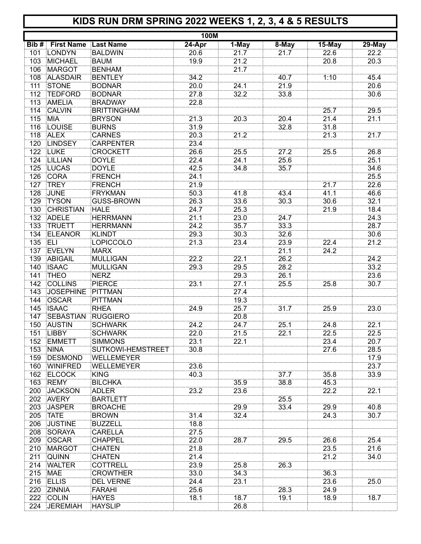## **KIDS RUN DRM SPRING 2022 WEEKS 1, 2, 3, 4 & 5 RESULTS**

|     |                                   |                    | 100M   |       |       |        |        |
|-----|-----------------------------------|--------------------|--------|-------|-------|--------|--------|
|     | <b>Bib # First Name Last Name</b> |                    | 24-Apr | 1-May | 8-May | 15-May | 29-May |
|     | 101 LONDYN                        | <b>BALDWIN</b>     | 20.6   | 21.7  | 21.7  | 22.6   | 22.2   |
| 103 | <b>MICHAEL</b>                    | <b>BAUM</b>        | 19.9   | 21.2  |       | 20.8   | 20.3   |
| 106 | <b>MARGOT</b>                     | <b>BENHAM</b>      |        | 21.7  |       |        |        |
| 108 | <b>ALASDAIR</b>                   | <b>BENTLEY</b>     | 34.2   |       | 40.7  | 1:10   | 45.4   |
| 111 | <b>STONE</b>                      | <b>BODNAR</b>      | 20.0   | 24.1  | 21.9  |        | 20.6   |
| 112 | <b>TEDFORD</b>                    | <b>BODNAR</b>      | 27.8   | 32.2  | 33.8  |        | 30.6   |
| 113 | AMELIA                            | <b>BRADWAY</b>     | 22.8   |       |       |        |        |
| 114 | <b>CALVIN</b>                     | <b>BRITTINGHAM</b> |        |       |       | 25.7   | 29.5   |
| 115 | <b>MIA</b>                        | <b>BRYSON</b>      | 21.3   | 20.3  | 20.4  | 21.4   | 21.1   |
| 116 | <b>LOUISE</b>                     | <b>BURNS</b>       | 31.9   |       | 32.8  | 31.8   |        |
| 118 | <b>ALEX</b>                       | <b>CARNES</b>      | 20.3   | 21.2  |       | 21.3   | 21.7   |
| 120 | <b>LINDSEY</b>                    | <b>CARPENTER</b>   | 23.4   |       |       |        |        |
|     |                                   |                    |        |       |       |        |        |
| 122 | <b>LUKE</b>                       | <b>CROCKETT</b>    | 26.6   | 25.5  | 27.2  | 25.5   | 26.8   |
| 124 | LILLIAN                           | <b>DOYLE</b>       | 22.4   | 24.1  | 25.6  |        | 25.1   |
|     | 125 LUCAS                         | <b>DOYLE</b>       | 42.5   | 34.8  | 35.7  |        | 34.6   |
| 126 | <b>CORA</b>                       | FRENCH             | 24.1   |       |       |        | 25.5   |
| 127 | <b>TREY</b>                       | <b>FRENCH</b>      | 21.9   |       |       | 21.7   | 22.6   |
| 128 | <b>JUNE</b>                       | <b>FRYKMAN</b>     | 50.3   | 41.8  | 43.4  | 41.1   | 46.6   |
| 129 | <b>TYSON</b>                      | <b>GUSS-BROWN</b>  | 26.3   | 33.6  | 30.3  | 30.6   | 32.1   |
| 130 | <b>CHRISTIAN</b>                  | HALE               | 24.7   | 25.3  |       | 21.9   | 18.4   |
| 132 | <b>ADELE</b>                      | <b>HERRMANN</b>    | 21.1   | 23.0  | 24.7  |        | 24.3   |
| 133 | <b>TRUETT</b>                     | <b>HERRMANN</b>    | 24.2   | 35.7  | 33.3  |        | 28.7   |
| 134 | <b>ELEANOR</b>                    | <b>KLINDT</b>      | 29.3   | 30.3  | 32.6  |        | 30.6   |
| 135 | ELI                               | LOPICCOLO          | 21.3   | 23.4  | 23.9  | 22.4   | 21.2   |
| 137 | EVELYN                            | <b>MARX</b>        |        |       | 21.1  | 24.2   |        |
| 139 | ABIGAIL                           | <b>MULLIGAN</b>    | 22.2   | 22.1  | 26.2  |        | 24.2   |
| 140 | <b>ISAAC</b>                      | <b>MULLIGAN</b>    | 29.3   | 29.5  | 28.2  |        | 33.2   |
| 141 | <b>THEO</b>                       | <b>NERZ</b>        |        | 29.3  | 26.1  |        | 23.6   |
| 142 | <b>COLLINS</b>                    | <b>PIERCE</b>      | 23.1   | 27.1  | 25.5  | 25.8   | 30.7   |
| 143 | <b>JOSEPHINE</b>                  | PITTMAN            |        | 27.4  |       |        |        |
| 144 | <b>OSCAR</b>                      | <b>PITTMAN</b>     |        | 19.3  |       |        |        |
| 145 | <b>ISAAC</b>                      | <b>RHEA</b>        | 24.9   | 25.7  | 31.7  | 25.9   | 23.0   |
| 147 | <b>SEBASTIAN</b>                  | <b>RUGGIERO</b>    |        | 20.8  |       |        |        |
| 150 | <b>AUSTIN</b>                     | <b>SCHWARK</b>     | 24.2   | 24.7  | 25.1  | 24.8   | 22.1   |
|     | 151 LIBBY                         | <b>SCHWARK</b>     | 22.0   | 21.5  | 22.1  | 22.5   | 22.5   |
|     | 152 EMMETT                        | <b>SIMMONS</b>     | 23.1   | 22.1  |       | 23.4   | 20.7   |
| 153 | <b>NINA</b>                       | SUTKOWI-HEMSTREET  | 30.8   |       |       | 27.6   | 28.5   |
| 159 | DESMOND                           | <b>WELLEMEYER</b>  |        |       |       |        | 17.9   |
|     | 160 WINIFRED                      | WELLEMEYER         | 23.6   |       |       |        | 23.7   |
|     | 162 ELCOCK                        | <b>KING</b>        | 40.3   |       | 37.7  | 35.8   | 33.9   |
| 163 | <b>REMY</b>                       | <b>BILCHKA</b>     |        | 35.9  | 38.8  | 45.3   |        |
| 200 | <b>JACKSON</b>                    | <b>ADLER</b>       | 23.2   | 23.6  |       | 22.2   | 22.1   |
| 202 | <b>AVERY</b>                      | <b>BARTLETT</b>    |        |       | 25.5  |        |        |
| 203 | <b>JASPER</b>                     | <b>BROACHE</b>     |        | 29.9  | 33.4  | 29.9   | 40.8   |
| 205 | <b>TATE</b>                       | <b>BROWN</b>       | 31.4   | 32.4  |       | 24.3   | 30.7   |
| 206 | <b>JUSTINE</b>                    | <b>BUZZELL</b>     | 18.8   |       |       |        |        |
| 208 | SORAYA                            | <b>CARELLA</b>     | 27.5   |       |       |        |        |
| 209 | <b>OSCAR</b>                      | <b>CHAPPEL</b>     | 22.0   | 28.7  | 29.5  | 26.6   | 25.4   |
| 210 | <b>MARGOT</b>                     | <b>CHATEN</b>      | 21.8   |       |       | 23.5   | 21.6   |
| 211 | <b>QUINN</b>                      | <b>CHATEN</b>      | 21.4   |       |       | 21.2   | 34.0   |
| 214 | <b>WALTER</b>                     | <b>COTTRELL</b>    | 23.9   | 25.8  | 26.3  |        |        |
| 215 | <b>MAE</b>                        | <b>CROWTHER</b>    | 33.0   | 34.3  |       | 36.3   |        |
|     | 216 ELLIS                         | <b>DEL VERNE</b>   | 24.4   | 23.1  |       | 23.6   | 25.0   |
| 220 | <b>ZINNIA</b>                     | FARAHI             | 25.6   |       | 28.3  | 24.9   |        |
|     | 222 COLIN                         | <b>HAYES</b>       | 18.1   | 18.7  | 19.1  | 18.9   | 18.7   |
|     | 224 JEREMIAH                      | <b>HAYSLIP</b>     |        | 26.8  |       |        |        |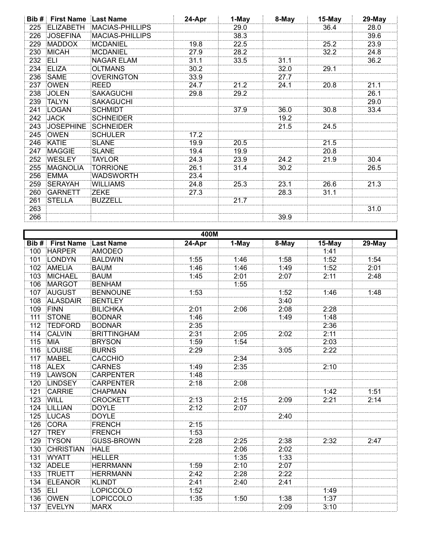| Bib# | <b>First Name</b> | <b>Last Name</b>       | 24-Apr | 1-May | 8-May | 15-May | 29-May |
|------|-------------------|------------------------|--------|-------|-------|--------|--------|
| 225  | <b>ELIZABETH</b>  | <b>MACIAS-PHILLIPS</b> |        | 29.0  |       | 36.4   | 28.0   |
| 226  | <b>JOSEFINA</b>   | MACIAS-PHILLIPS        |        | 38.3  |       |        | 39.6   |
| 229  | <b>MADDOX</b>     | MCDANIEL               | 19.8   | 22.5  |       | 25.2   | 23.9   |
| 230  | <b>MICAH</b>      | MCDANIEL               | 27.9   | 28.2  |       | 32.2   | 24.8   |
| 232  | ELI               | <b>NAGAR ELAM</b>      | 31.1   | 33.5  | 31.1  |        | 36.2   |
| 234  | <b>ELIZA</b>      | OLTMANS                | 30.2   |       | 32.0  | 29.1   |        |
| 236  | <b>SAME</b>       | <b>OVERINGTON</b>      | 33.9   |       | 27.7  |        |        |
| 237  | <b>OWEN</b>       | REED                   | 24.7   | 21.2  | 24.1  | 20.8   | 21.1   |
| 238  | <b>JOLEN</b>      | <b>SAKAGUCHI</b>       | 29.8   | 29.2  |       |        | 26.1   |
| 239  | <b>TALYN</b>      | <b>SAKAGUCHI</b>       |        |       |       |        | 29.0   |
| 241  | <b>LOGAN</b>      | <b>SCHMIDT</b>         |        | 37.9  | 36.0  | 30.8   | 33.4   |
| 242  | <b>JACK</b>       | <b>SCHNEIDER</b>       |        |       | 19.2  |        |        |
| 243  | <b>JOSEPHINE</b>  | <b>SCHNEIDER</b>       |        |       | 21.5  | 24.5   |        |
| 245  | <b>OWEN</b>       | SCHULER                | 17.2   |       |       |        |        |
| 246  | <b>KATIE</b>      | <b>SLANE</b>           | 19.9   | 20.5  |       | 21.5   |        |
| 247  | <b>MAGGIE</b>     | <b>SLANE</b>           | 19.4   | 19.9  |       | 20.8   |        |
| 252  | <b>WESLEY</b>     | <b>TAYLOR</b>          | 24.3   | 23.9  | 24.2  | 21.9   | 30.4   |
| 255  | <b>MAGNOLIA</b>   | <b>TORRIONE</b>        | 26.1   | 31.4  | 30.2  |        | 26.5   |
| 256  | <b>EMMA</b>       | WADSWORTH              | 23.4   |       |       |        |        |
| 259  | <b>SERAYAH</b>    | <b>WILLIAMS</b>        | 24.8   | 25.3  | 23.1  | 26.6   | 21.3   |
| 260  | <b>GARNETT</b>    | <b>ZEKE</b>            | 27.3   |       | 28.3  | 31.1   |        |
| 261  | <b>STELLA</b>     | BUZZELL                |        | 21.7  |       |        |        |
| 263  |                   |                        |        |       |       |        | 31.0   |
| 266  |                   |                        |        |       | 39.9  |        |        |

| 400M |                   |                    |          |       |       |        |        |
|------|-------------------|--------------------|----------|-------|-------|--------|--------|
| Bib# | <b>First Name</b> | Last Name          | $24-Apr$ | 1-May | 8-May | 15-May | 29-May |
| 100  | <b>HARPER</b>     | <b>AMODEO</b>      |          |       |       | 1:41   |        |
| 101  | LONDYN            | <b>BALDWIN</b>     | 1:55     | 1:46  | 1:58  | 1:52   | 1:54   |
| 102  | <b>AMELIA</b>     | <b>BAUM</b>        | 1:46     | 1:46  | 1:49  | 1:52   | 2:01   |
| 103  | <b>MICHAEL</b>    | <b>BAUM</b>        | 1:45     | 2:01  | 2:07  | 2:11   | 2:48   |
| 106  | <b>MARGOT</b>     | <b>BENHAM</b>      |          | 1:55  |       |        |        |
| 107  | <b>AUGUST</b>     | <b>BENNOUNE</b>    | 1:53     |       | 1:52  | 1:46   | 1:48   |
| 108  | <b>ALASDAIR</b>   | <b>BENTLEY</b>     |          |       | 3:40  |        |        |
| 109  | <b>FINN</b>       | <b>BILICHKA</b>    | 2:01     | 2:06  | 2:08  | 2:28   |        |
| 111  | STONE             | <b>BODNAR</b>      | 1:46     |       | 1:49  | 1:48   |        |
| 112  | <b>TEDFORD</b>    | <b>BODNAR</b>      | 2:35     |       |       | 2:36   |        |
| 114  | <b>CALVIN</b>     | <b>BRITTINGHAM</b> | 2:31     | 2:05  | 2:02  | 2:11   |        |
| 115  | <b>MIA</b>        | <b>BRYSON</b>      | 1:59     | 1:54  |       | 2:03   |        |
| 116  | LOUISE            | <b>BURNS</b>       | 2:29     |       | 3:05  | 2:22   |        |
| 117  | <b>MABEL</b>      | <b>CACCHIO</b>     |          | 2:34  |       |        |        |
| 118  | <b>ALEX</b>       | <b>CARNES</b>      | 1:49     | 2:35  |       | 2:10   |        |
| 119  | LAWSON            | <b>CARPENTER</b>   | 1:48     |       |       |        |        |
| 120  | LINDSEY           | <b>CARPENTER</b>   | 2:18     | 2:08  |       |        |        |
| 121  | CARRIE            | <b>CHAPMAN</b>     |          |       |       | 1:42   | 1:51   |
| 123  | WILL              | <b>CROCKETT</b>    | 2:13     | 2:15  | 2:09  | 2:21   | 2:14   |
| 124  | LILLIAN           | <b>DOYLE</b>       | 2:12     | 2:07  |       |        |        |
| 125  | <b>LUCAS</b>      | <b>DOYLE</b>       |          |       | 2:40  |        |        |
| 126  | <b>CORA</b>       | FRENCH             | 2:15     |       |       |        |        |
| 127  | <b>TREY</b>       | <b>FRENCH</b>      | 1:53     |       |       |        |        |
| 129  | <b>TYSON</b>      | <b>GUSS-BROWN</b>  | 2:28     | 2:25  | 2:38  | 2:32   | 2:47   |
| 130  | <b>CHRISTIAN</b>  | <b>HALE</b>        |          | 2:06  | 2:02  |        |        |
| 131  | <b>WYATT</b>      | <b>HELLER</b>      |          | 1:35  | 1:33  |        |        |
| 132  | <b>ADELE</b>      | <b>HERRMANN</b>    | 1:59     | 2:10  | 2:07  |        |        |
| 133  | <b>TRUETT</b>     | <b>HERRMANN</b>    | 2:42     | 2:28  | 2:22  |        |        |
| 134  | <b>ELEANOR</b>    | <b>KLINDT</b>      | 2:41     | 2:40  | 2:41  |        |        |
| 135  | ELI               | LOPICCOLO          | 1:52     |       |       | 1:49   |        |
| 136  | OWEN              | LOPICCOLO          | 1:35     | 1:50  | 1:38  | 1:37   |        |
| 137  | EVELYN            | MARX               |          |       | 2:09  | 3:10   |        |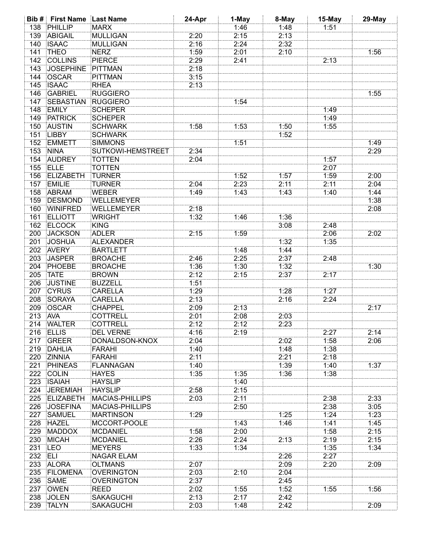|         | <b>Bib # First Name Last Name</b> |                          | 24-Apr | 1-May | 8-May | 15-May | 29-May |
|---------|-----------------------------------|--------------------------|--------|-------|-------|--------|--------|
| 138     | PHILLIP                           | MARX                     |        | 1:46  | 1:48  | 1:51   |        |
| 139     | ABIGAIL                           | MULLIGAN                 | 2:20   | 2:15  | 2:13  |        |        |
| 140     | <b>ISAAC</b>                      | MULLIGAN                 | 2:16   | 2:24  | 2:32  |        |        |
| 141     | <b>THEO</b>                       | <b>NERZ</b>              | 1:59   | 2:01  | 2:10  |        | 1:56   |
| 142     | <b>COLLINS</b>                    | <b>PIERCE</b>            | 2:29   | 2:41  |       | 2:13   |        |
| 143     | <b>JOSEPHINE</b>                  | PITTMAN                  | 2:18   |       |       |        |        |
| 144     | OSCAR                             | <b>PITTMAN</b>           | 3:15   |       |       |        |        |
| 145     | <b>ISAAC</b>                      | <b>RHEA</b>              | 2:13   |       |       |        |        |
| 146     | <b>GABRIEL</b>                    | <b>RUGGIERO</b>          |        |       |       |        | 1:55   |
| 147     | <b>SEBASTIAN</b>                  | <b>RUGGIERO</b>          |        | 1:54  |       |        |        |
| 148     | <b>EMILY</b>                      | <b>SCHEPER</b>           |        |       |       | 1:49   |        |
| 149     | <b>PATRICK</b>                    | <b>SCHEPER</b>           |        |       |       | 1:49   |        |
| 150     | <b>AUSTIN</b>                     | <b>SCHWARK</b>           | 1:58   | 1:53  | 1:50  | 1:55   |        |
| 151     | <b>LIBBY</b>                      | <b>SCHWARK</b>           |        |       | 1:52  |        |        |
| 152     | <b>EMMETT</b>                     | <b>SIMMONS</b>           |        | 1:51  |       |        | 1:49   |
| 153     | <b>NINA</b>                       | <b>SUTKOWI-HEMSTREET</b> | 2:34   |       |       |        | 2:29   |
| 154     | <b>AUDREY</b>                     | <b>TOTTEN</b>            | 2:04   |       |       | 1:57   |        |
| 155     | <b>ELLE</b>                       | <b>TOTTEN</b>            |        |       |       | 2:07   |        |
|         | <b>ELIZABETH</b>                  | <b>TURNER</b>            |        |       |       |        |        |
| 156     |                                   |                          |        | 1:52  | 1:57  | 1:59   | 2:00   |
| 157     | <b>EMILIE</b>                     | <b>TURNER</b>            | 2:04   | 2:23  | 2:11  | 2:11   | 2:04   |
| 158     | ABRAM                             | <b>WEBER</b>             | 1:49   | 1:43  | 1:43  | 1:40   | 1:44   |
| 159     | <b>DESMOND</b>                    | WELLEMEYER               |        |       |       |        | 1:38   |
| 160     | <b>WINIFRED</b>                   | WELLEMEYER               | 2:18   |       |       |        | 2:08   |
| 161     | <b>ELLIOTT</b>                    | WRIGHT                   | 1:32   | 1:46  | 1:36  |        |        |
| 162     | <b>ELCOCK</b>                     | <b>KING</b>              |        |       | 3:08  | 2:48   |        |
| 200     | <b>JACKSON</b>                    | ADLER                    | 2:15   | 1:59  |       | 2:06   | 2:02   |
| 201     | <b>JOSHUA</b>                     | ALEXANDER                |        |       | 1:32  | 1:35   |        |
| 202     | <b>AVERY</b>                      | <b>BARTLETT</b>          |        | 1:48  | 1:44  |        |        |
| 203     | <b>JASPER</b>                     | <b>BROACHE</b>           | 2:46   | 2:25  | 2:37  | 2:48   |        |
| 204     | PHOEBE                            | <b>BROACHE</b>           | 1:36   | 1:30  | 1:32  |        | 1:30   |
| 205     | <b>TATE</b>                       | <b>BROWN</b>             | 2:12   | 2:15  | 2:37  | 2:17   |        |
| 206     | <b>JUSTINE</b>                    | <b>BUZZELL</b>           | 1:51   |       |       |        |        |
| 207     | <b>CYRUS</b>                      | <b>CARELLA</b>           | 1:29   |       | 1:28  | 1:27   |        |
| 208     | SORAYA                            | <b>CARELLA</b>           | 2:13   |       | 2:16  | 2:24   |        |
| 209     | OSCAR                             | <b>CHAPPEL</b>           | 2:09   | 2:13  |       |        | 2:17   |
| 213     | <b>AVA</b>                        | <b>COTTRELL</b>          | 2:01   | 2:08  | 2:03  |        |        |
|         | 214 WALTER                        | COTTRELL                 | 2:12   | 2:12  | 2:23  |        |        |
|         | 216 ELLIS                         | <b>DEL VERNE</b>         | 4:16   | 2:19  |       | 2:27   | 2:14   |
| 217     | GREER                             | <b>DONALDSON-KNOX</b>    | 2:04   |       | 2:02  | 1:58   | 2:06   |
|         | 219 DAHLIA                        | <b>FARAHI</b>            | 1:40   |       | 1:48  | 1:38   |        |
|         | 220 ZINNIA                        | <b>FARAHI</b>            | 2:11   |       | 2:21  | 2:18   |        |
| 221     | <b>PHINEAS</b>                    | <b>FLANNAGAN</b>         | 1:40   |       | 1:39  | 1:40   | 1:37   |
|         | 222 COLIN                         | <b>HAYES</b>             | 1:35   | 1:35  | 1:36  | 1:38   |        |
|         | 223 ISAIAH                        | <b>HAYSLIP</b>           |        | 1:40  |       |        |        |
|         | 224 JEREMIAH                      | <b>HAYSLIP</b>           | 2:58   | 2:15  |       |        |        |
|         | 225 ELIZABETH                     | <b>MACIAS-PHILLIPS</b>   | 2:03   | 2:11  |       | 2:38   | 2:33   |
|         | 226 JOSEFINA                      | <b>MACIAS-PHILLIPS</b>   |        | 2:50  |       | 2:38   | 3:05   |
|         | 227 SAMUEL                        | <b>MARTINSON</b>         | 1:29   |       | 1:25  | 1:24   | 1:23   |
|         | 228 HAZEL                         | MCCORT-POOLE             |        | 1:43  | 1:46  | 1:41   | 1:45   |
|         | 229 MADDOX                        | MCDANIEL                 | 1:58   | 2:00  |       | 1:58   | 2:15   |
|         | 230 MICAH                         | MCDANIEL                 | 2:26   | 2:24  | 2:13  | 2:19   | 2:15   |
| 231 LEO |                                   | <b>MEYERS</b>            |        |       |       | 1:35   | 1:34   |
|         |                                   | <b>NAGAR ELAM</b>        | 1:33   | 1:34  |       | 2:27   |        |
| 232 ELI |                                   |                          |        |       | 2:26  |        |        |
|         | 233 ALORA                         | <b>OLTMANS</b>           | 2:07   |       | 2:09  | 2:20   | 2:09   |
|         | 235 FILOMENA                      | <b>OVERINGTON</b>        | 2:03   | 2:10  | 2:04  |        |        |
| 236     | <b>SAME</b>                       | <b>OVERINGTON</b>        | 2:37   |       | 2:45  |        |        |
|         | 237 OWEN                          | <b>REED</b>              | 2:02   | 1:55  | 1:52  | 1:55   | 1:56   |
| 238     | <b>JOLEN</b>                      | <b>SAKAGUCHI</b>         | 2:13   | 2:17  | 2:42  |        |        |
|         | 239 TALYN                         | <b>SAKAGUCHI</b>         | 2:03   | 1:48  | 2:42  |        | 2:09   |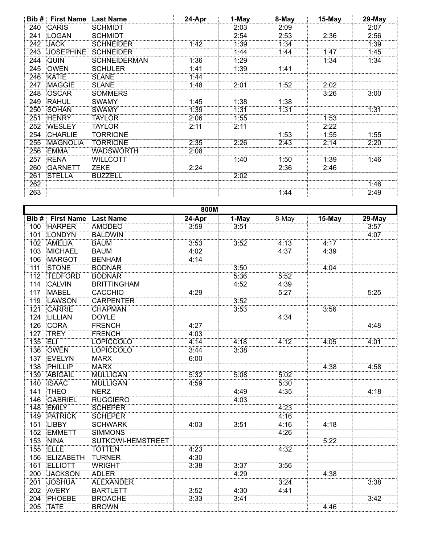| Bib # | <b>First Name Last Name</b> |                     | 24-Apr | 1-May | 8-May | 15-May | 29-May |
|-------|-----------------------------|---------------------|--------|-------|-------|--------|--------|
| 240   | <b>CARIS</b>                | SCHMIDT             |        | 2:03  | 2:09  |        | 2:07   |
| 241   | LOGAN                       | SCHMIDT             |        | 2:54  | 2:53  | 2:36   | 2:56   |
| 242   | <b>JACK</b>                 | SCHNEIDER           | 1:42   | 1:39  | 1:34  |        | 1:39   |
| 243   | <b>JOSEPHINE</b>            | SCHNEIDER           |        | 1:44  | 1:44  | 1:47   | 1:45   |
| 244   | QUIN                        | <b>SCHNEIDERMAN</b> | 1:36   | 1:29  |       | 1:34   | 1:34   |
| 245   | OWEN                        | <b>SCHULER</b>      | 1:41   | 1:39  | 1:41  |        |        |
| 246   | KATIE                       | SLANE               | 1:44   |       |       |        |        |
| 247   | <b>MAGGIE</b>               | SLANE               | 1:48   | 2:01  | 1:52  | 2:02   |        |
| 248   | <b>OSCAR</b>                | <b>SOMMERS</b>      |        |       |       | 3:26   | 3:00   |
| 249   | <b>RAHUL</b>                | <b>SWAMY</b>        | 1:45   | 1:38  | 1:38  |        |        |
| 250   | SOHAN                       | SWAMY               | 1:39   | 1:31  | 1:31  |        | 1:31   |
| 251   | <b>HENRY</b>                | TAYLOR              | 2:06   | 1:55  |       | 1:53   |        |
| 252   | <b>WESLEY</b>               | TAYLOR              | 2:11   | 2:11  |       | 2:22   |        |
| 254   | <b>CHARLIE</b>              | TORRIONE            |        |       | 1:53  | 1:55   | 1:55   |
| 255   | <b>MAGNOLIA</b>             | TORRIONE            | 2:35   | 2:26  | 2:43  | 2:14   | 2:20   |
| 256   | EMMA                        | WADSWORTH           | 2:08   |       |       |        |        |
| 257   | <b>RENA</b>                 | WILLCOTT            |        | 1:40  | 1:50  | 1:39   | 1:46   |
| 260   | <b>GARNETT</b>              | <b>ZEKE</b>         | 2:24   |       | 2:36  | 2:46   |        |
| 261   | <b>STELLA</b>               | BUZZELL             |        | 2:02  |       |        |        |
| 262   |                             |                     |        |       |       |        | 1:46   |
| 263   |                             |                     |        |       | 1:44  |        | 2:49   |

|                  | 800M              |                          |        |       |       |        |        |  |
|------------------|-------------------|--------------------------|--------|-------|-------|--------|--------|--|
| Bib#             | <b>First Name</b> | Last Name                | 24-Apr | 1-May | 8-May | 15-May | 29-May |  |
| 100              | <b>HARPER</b>     | <b>AMODEO</b>            | 3:59   | 3:51  |       |        | 3:57   |  |
| 101              | <b>LONDYN</b>     | <b>BALDWIN</b>           |        |       |       |        | 4:07   |  |
| 102              | AMELIA            | <b>BAUM</b>              | 3:53   | 3:52  | 4:13  | 4:17   |        |  |
| 103              | <b>MICHAEL</b>    | <b>BAUM</b>              | 4:02   |       | 4:37  | 4:39   |        |  |
| 106              | <b>MARGOT</b>     | <b>BENHAM</b>            | 4:14   |       |       |        |        |  |
| 111              | <b>STONE</b>      | <b>BODNAR</b>            |        | 3:50  |       | 4:04   |        |  |
| $\overline{112}$ | <b>TEDFORD</b>    | <b>BODNAR</b>            |        | 5:36  | 5:52  |        |        |  |
| 114              | <b>CALVIN</b>     | <b>BRITTINGHAM</b>       |        | 4:52  | 4:39  |        |        |  |
| 117              | <b>MABEL</b>      | <b>CACCHIO</b>           | 4:29   |       | 5:27  |        | 5:25   |  |
| 119              | LAWSON            | <b>CARPENTER</b>         |        | 3:52  |       |        |        |  |
| 121              | <b>CARRIE</b>     | <b>CHAPMAN</b>           |        | 3:53  |       | 3:56   |        |  |
| 124              | LILLIAN           | <b>DOYLE</b>             |        |       | 4:34  |        |        |  |
| 126              | <b>CORA</b>       | FRENCH                   | 4:27   |       |       |        | 4:48   |  |
| 127              | <b>TREY</b>       | <b>FRENCH</b>            | 4:03   |       |       |        |        |  |
| 135              | ELI               | LOPICCOLO                | 4:14   | 4:18  | 4:12  | 4:05   | 4:01   |  |
| 136              | OWEN              | LOPICCOLO                | 3:44   | 3:38  |       |        |        |  |
| 137              | EVELYN            | <b>MARX</b>              | 6:00   |       |       |        |        |  |
| 138              | PHILLIP           | <b>MARX</b>              |        |       |       | 4:38   | 4:58   |  |
| 139              | <b>ABIGAIL</b>    | <b>MULLIGAN</b>          | 5:32   | 5:08  | 5:02  |        |        |  |
| 140              | <b>ISAAC</b>      | <b>MULLIGAN</b>          | 4:59   |       | 5:30  |        |        |  |
| 141              | <b>THEO</b>       | <b>NERZ</b>              |        | 4:49  | 4:35  |        | 4:18   |  |
| 146              | GABRIEL           | <b>RUGGIERO</b>          |        | 4:03  |       |        |        |  |
| 148              | <b>EMILY</b>      | <b>SCHEPER</b>           |        |       | 4:23  |        |        |  |
| 149              | <b>PATRICK</b>    | <b>SCHEPER</b>           |        |       | 4:16  |        |        |  |
| 151              | <b>LIBBY</b>      | <b>SCHWARK</b>           | 4:03   | 3:51  | 4:16  | 4:18   |        |  |
| 152              | EMMETT            | <b>SIMMONS</b>           |        |       | 4:26  |        |        |  |
| 153              | <b>NINA</b>       | <b>SUTKOWI-HEMSTREET</b> |        |       |       | 5:22   |        |  |
| 155              | <b>ELLE</b>       | <b>TOTTEN</b>            | 4:23   |       | 4:32  |        |        |  |
| 156              | ELIZABETH         | TURNER                   | 4:30   |       |       |        |        |  |
| 161              | <b>ELLIOTT</b>    | WRIGHT                   | 3:38   | 3:37  | 3:56  |        |        |  |
| 200              | <b>JACKSON</b>    | <b>ADLER</b>             |        | 4:29  |       | 4:38   |        |  |
| 201              | <b>JOSHUA</b>     | <b>ALEXANDER</b>         |        |       | 3:24  |        | 3:38   |  |
| 202              | AVERY             | <b>BARTLETT</b>          | 3:52   | 4:30  | 4:41  |        |        |  |
| 204              | PHOEBE            | <b>BROACHE</b>           | 3:33   | 3:41  |       |        | 3:42   |  |
| 205              | <b>TATE</b>       | <b>BROWN</b>             |        |       |       | 4:46   |        |  |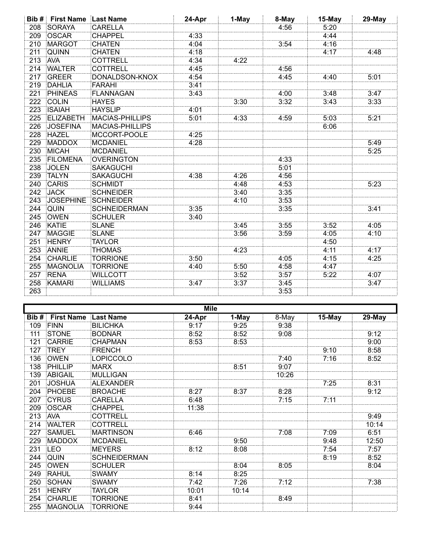| Bib# | <b>First Name Last Name</b> |                        | 24-Apr | 1-May | 8-May | 15-May | 29-May |
|------|-----------------------------|------------------------|--------|-------|-------|--------|--------|
| 208  | <b>SORAYA</b>               | <b>CARELLA</b>         |        |       | 4:56  | 5:20   |        |
| 209  | <b>OSCAR</b>                | <b>CHAPPEL</b>         | 4:33   |       |       | 4:44   |        |
| 210  | <b>MARGOT</b>               | CHATEN                 | 4:04   |       | 3:54  | 4:16   |        |
| 211  | <b>QUINN</b>                | <b>CHATEN</b>          | 4:18   |       |       | 4:17   | 4:48   |
| 213  | <b>AVA</b>                  | <b>COTTRELL</b>        | 4:34   | 4:22  |       |        |        |
| 214  | <b>WALTER</b>               | COTTRELL               | 4:45   |       | 4:56  |        |        |
| 217  | <b>GREER</b>                | <b>DONALDSON-KNOX</b>  | 4:54   |       | 4:45  | 4:40   | 5:01   |
| 219  | <b>DAHLIA</b>               | FARAHI                 | 3:41   |       |       |        |        |
| 221  | <b>PHINEAS</b>              | <b>FLANNAGAN</b>       | 3:43   |       | 4:00  | 3:48   | 3:47   |
| 222  | <b>COLIN</b>                | <b>HAYES</b>           |        | 3:30  | 3:32  | 3:43   | 3:33   |
| 223  | <b>ISAIAH</b>               | <b>HAYSLIP</b>         | 4:01   |       |       |        |        |
| 225  | <b>ELIZABETH</b>            | <b>MACIAS-PHILLIPS</b> | 5:01   | 4:33  | 4:59  | 5:03   | 5:21   |
| 226  | <b>JOSEFINA</b>             | <b>MACIAS-PHILLIPS</b> |        |       |       | 6:06   |        |
| 228  | <b>HAZEL</b>                | MCCORT-POOLE           | 4:25   |       |       |        |        |
| 229  | <b>MADDOX</b>               | <b>MCDANIEL</b>        | 4:28   |       |       |        | 5:49   |
| 230  | <b>MICAH</b>                | MCDANIEL               |        |       |       |        | 5:25   |
| 235  | <b>FILOMENA</b>             | <b>OVERINGTON</b>      |        |       | 4:33  |        |        |
| 238  | <b>JOLEN</b>                | <b>SAKAGUCHI</b>       |        |       | 5:01  |        |        |
| 239  | <b>TALYN</b>                | <b>SAKAGUCHI</b>       | 4:38   | 4:26  | 4:56  |        |        |
| 240  | <b>CARIS</b>                | <b>SCHMIDT</b>         |        | 4:48  | 4:53  |        | 5:23   |
| 242  | <b>JACK</b>                 | <b>SCHNEIDER</b>       |        | 3:40  | 3:35  |        |        |
| 243  | <b>JOSEPHINE</b>            | <b>SCHNEIDER</b>       |        | 4:10  | 3:53  |        |        |
| 244  | <b>QUIN</b>                 | <b>SCHNEIDERMAN</b>    | 3:35   |       | 3:35  |        | 3:41   |
| 245  | <b>OWEN</b>                 | <b>SCHULER</b>         | 3:40   |       |       |        |        |
| 246  | <b>KATIE</b>                | <b>SLANE</b>           |        | 3.45  | 3:55  | 3:52   | 4:05   |
| 247  | <b>MAGGIE</b>               | <b>SLANE</b>           |        | 3:56  | 3:59  | 4:05   | 4:10   |
| 251  | <b>HENRY</b>                | <b>TAYLOR</b>          |        |       |       | 4:50   |        |
| 253  | <b>ANNIE</b>                | <b>THOMAS</b>          |        | 4:23  |       | 4:11   | 4:17   |
| 254  | <b>CHARLIE</b>              | <b>TORRIONE</b>        | 3:50   |       | 4:05  | 4:15   | 4:25   |
| 255  | <b>MAGNOLIA</b>             | <b>TORRIONE</b>        | 4:40   | 5:50  | 4:58  | 4:47   |        |
| 257  | <b>RENA</b>                 | <b>WILLCOTT</b>        |        | 3:52  | 3:57  | 5:22   | 4:07   |
| 258  | <b>KAMARI</b>               | <b>WILLIAMS</b>        | 3:47   | 3:37  | 3:45  |        | 3:47   |
| 263  |                             |                        |        |       | 3:53  |        |        |

| <b>Mile</b> |                   |                     |        |       |       |        |        |
|-------------|-------------------|---------------------|--------|-------|-------|--------|--------|
| Bib #       | <b>First Name</b> | Last Name           | 24-Apr | 1-May | 8-May | 15-May | 29-May |
| 109         | <b>FINN</b>       | <b>BILICHKA</b>     | 9:17   | 9:25  | 9:38  |        |        |
| 111         | STONE             | <b>BODNAR</b>       | 8:52   | 8:52  | 9:08  |        | 9:12   |
| 121         | <b>CARRIE</b>     | CHAPMAN             | 8:53   | 8:53  |       |        | 9:00   |
| 127         | <b>TREY</b>       | FRENCH              |        |       |       | 9:10   | 8:58   |
| 136         | OWEN              | LOPICCOLO           |        |       | 7:40  | 7:16   | 8:52   |
| 138         | PHILLIP           | MARX                |        | 8:51  | 9:07  |        |        |
| 139         | ABIGAIL           | MULLIGAN            |        |       | 10:26 |        |        |
| 201         | <b>JOSHUA</b>     | ALEXANDER           |        |       |       | 7:25   | 8:31   |
| 204         | PHOEBE            | <b>BROACHE</b>      | 8:27   | 8:37  | 8:28  |        | 9:12   |
| 207         | <b>CYRUS</b>      | <b>CARELLA</b>      | 6:48   |       | 7:15  | 7:11   |        |
| 209         | OSCAR             | <b>CHAPPEL</b>      | 11:38  |       |       |        |        |
| 213         | <b>AVA</b>        | <b>COTTRELL</b>     |        |       |       |        | 9:49   |
| 214         | <b>WALTER</b>     | <b>COTTRELL</b>     |        |       |       |        | 10:14  |
| 227         | <b>SAMUEL</b>     | <b>MARTINSON</b>    | 6:46   |       | 7:08  | 7:09   | 6:51   |
| 229         | <b>MADDOX</b>     | <b>MCDANIEL</b>     |        | 9:50  |       | 9:48   | 12:50  |
| 231         | LEO               | MEYERS              | 8:12   | 8:08  |       | 7:54   | 7:57   |
| 244         | QUIN              | <b>SCHNEIDERMAN</b> |        |       |       | 8:19   | 8:52   |
| 245         | <b>OWEN</b>       | <b>SCHULER</b>      |        | 8:04  | 8:05  |        | 8:04   |
| 249         | <b>RAHUL</b>      | SWAMY               | 8:14   | 8:25  |       |        |        |
| 250         | SOHAN             | SWAMY               | 7:42   | 7:26  | 7:12  |        | 7:38   |
| 251         | <b>HENRY</b>      | <b>TAYLOR</b>       | 10:01  | 10:14 |       |        |        |
| 254         | <b>CHARLIE</b>    | TORRIONE            | 8:41   |       | 8:49  |        |        |
| 255         | <b>MAGNOLIA</b>   | <b>TORRIONE</b>     | 9:44   |       |       |        |        |